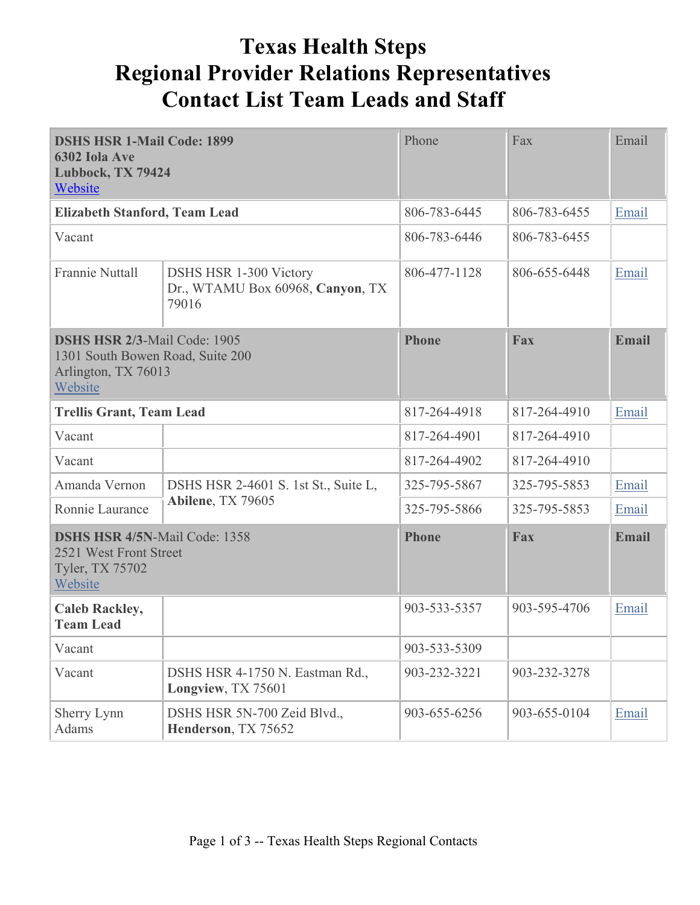## **Texas Health Steps Regional Provider Relations Representatives Contact List Team Leads and Staff**

| <b>DSHS HSR 1-Mail Code: 1899</b><br>6302 Iola Ave<br>Lubbock, TX 79424<br>Website                        |                                                                            | Phone        | Fax          | Email        |
|-----------------------------------------------------------------------------------------------------------|----------------------------------------------------------------------------|--------------|--------------|--------------|
| <b>Elizabeth Stanford, Team Lead</b>                                                                      |                                                                            | 806-783-6445 | 806-783-6455 | Email        |
| Vacant                                                                                                    |                                                                            | 806-783-6446 | 806-783-6455 |              |
| <b>Frannie Nuttall</b>                                                                                    | <b>DSHS HSR 1-300 Victory</b><br>Dr., WTAMU Box 60968, Canyon, TX<br>79016 | 806-477-1128 | 806-655-6448 | Email        |
| <b>DSHS HSR 2/3-Mail Code: 1905</b><br>1301 South Bowen Road, Suite 200<br>Arlington, TX 76013<br>Website |                                                                            | <b>Phone</b> | Fax          | <b>Email</b> |
|                                                                                                           | <b>Trellis Grant, Team Lead</b>                                            |              | 817-264-4910 | Email        |
| Vacant                                                                                                    |                                                                            | 817-264-4901 | 817-264-4910 |              |
| Vacant                                                                                                    |                                                                            | 817-264-4902 | 817-264-4910 |              |
| Amanda Vernon                                                                                             | DSHS HSR 2-4601 S. 1st St., Suite L,<br>Abilene, TX 79605                  | 325-795-5867 | 325-795-5853 | Email        |
| Ronnie Laurance                                                                                           |                                                                            | 325-795-5866 | 325-795-5853 | Email        |
| <b>DSHS HSR 4/5N-Mail Code: 1358</b><br>2521 West Front Street<br>Tyler, TX 75702<br>Website              |                                                                            | <b>Phone</b> | <b>Fax</b>   | <b>Email</b> |
| <b>Caleb Rackley,</b><br><b>Team Lead</b>                                                                 |                                                                            | 903-533-5357 | 903-595-4706 | Email        |
| Vacant                                                                                                    |                                                                            | 903-533-5309 |              |              |
| Vacant                                                                                                    | DSHS HSR 4-1750 N. Eastman Rd.,<br>Longview, TX 75601                      | 903-232-3221 | 903-232-3278 |              |
| Sherry Lynn<br>Adams                                                                                      | DSHS HSR 5N-700 Zeid Blvd.,<br>Henderson, TX 75652                         | 903-655-6256 | 903-655-0104 | Email        |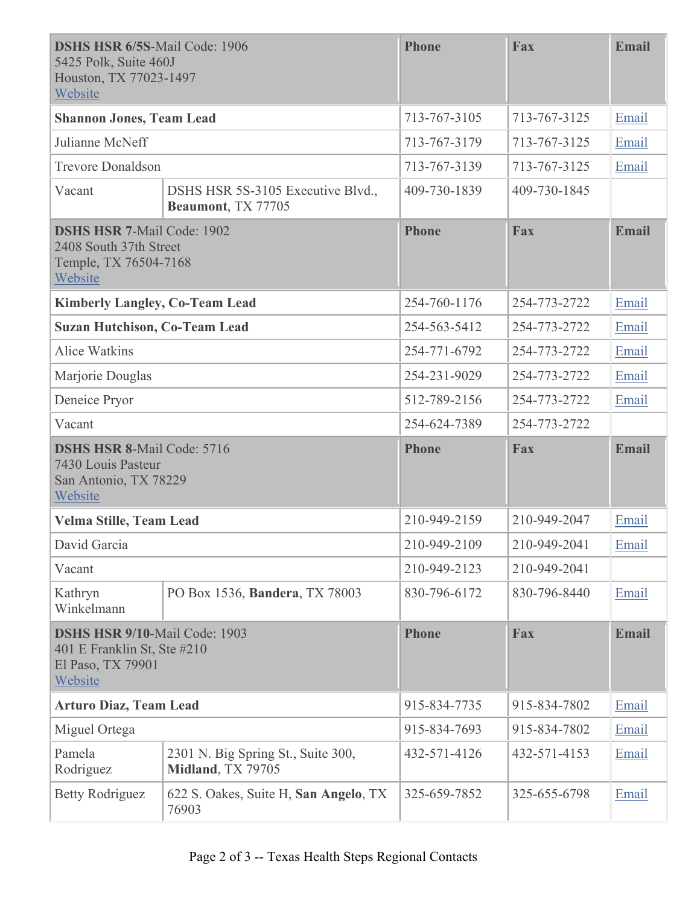| <b>DSHS HSR 6/5S-Mail Code: 1906</b><br>5425 Polk, Suite 460J<br>Houston, TX 77023-1497<br>Website  |                                                         | <b>Phone</b> | Fax          | <b>Email</b> |
|-----------------------------------------------------------------------------------------------------|---------------------------------------------------------|--------------|--------------|--------------|
|                                                                                                     | <b>Shannon Jones, Team Lead</b><br>713-767-3105         |              | 713-767-3125 | Email        |
| Julianne McNeff                                                                                     |                                                         | 713-767-3179 | 713-767-3125 | Email        |
| <b>Trevore Donaldson</b>                                                                            |                                                         | 713-767-3139 | 713-767-3125 | Email        |
| Vacant                                                                                              | DSHS HSR 5S-3105 Executive Blvd.,<br>Beaumont, TX 77705 | 409-730-1839 | 409-730-1845 |              |
| <b>DSHS HSR 7-Mail Code: 1902</b><br>2408 South 37th Street<br>Temple, TX 76504-7168<br>Website     |                                                         | <b>Phone</b> | Fax          | <b>Email</b> |
| <b>Kimberly Langley, Co-Team Lead</b>                                                               |                                                         | 254-760-1176 | 254-773-2722 | Email        |
| <b>Suzan Hutchison, Co-Team Lead</b>                                                                |                                                         | 254-563-5412 | 254-773-2722 | Email        |
| <b>Alice Watkins</b>                                                                                |                                                         | 254-771-6792 | 254-773-2722 | Email        |
| Marjorie Douglas                                                                                    |                                                         | 254-231-9029 | 254-773-2722 | Email        |
| Deneice Pryor                                                                                       |                                                         | 512-789-2156 | 254-773-2722 | Email        |
| Vacant                                                                                              |                                                         | 254-624-7389 | 254-773-2722 |              |
| <b>DSHS HSR 8-Mail Code: 5716</b><br>7430 Louis Pasteur<br>San Antonio, TX 78229<br>Website         |                                                         | <b>Phone</b> | Fax          | <b>Email</b> |
|                                                                                                     |                                                         |              |              |              |
| Velma Stille, Team Lead                                                                             |                                                         | 210-949-2159 | 210-949-2047 | Email        |
| David Garcia                                                                                        |                                                         | 210-949-2109 | 210-949-2041 | Email        |
| Vacant                                                                                              |                                                         | 210-949-2123 | 210-949-2041 |              |
| Kathryn<br>Winkelmann                                                                               | PO Box 1536, Bandera, TX 78003                          | 830-796-6172 | 830-796-8440 | Email        |
| <b>DSHS HSR 9/10-Mail Code: 1903</b><br>401 E Franklin St, Ste #210<br>El Paso, TX 79901<br>Website |                                                         | <b>Phone</b> | Fax          | <b>Email</b> |
| <b>Arturo Diaz, Team Lead</b>                                                                       |                                                         | 915-834-7735 | 915-834-7802 | Email        |
| Miguel Ortega                                                                                       |                                                         | 915-834-7693 | 915-834-7802 | Email        |
| Pamela<br>Rodriguez                                                                                 | 2301 N. Big Spring St., Suite 300,<br>Midland, TX 79705 | 432-571-4126 | 432-571-4153 | Email        |